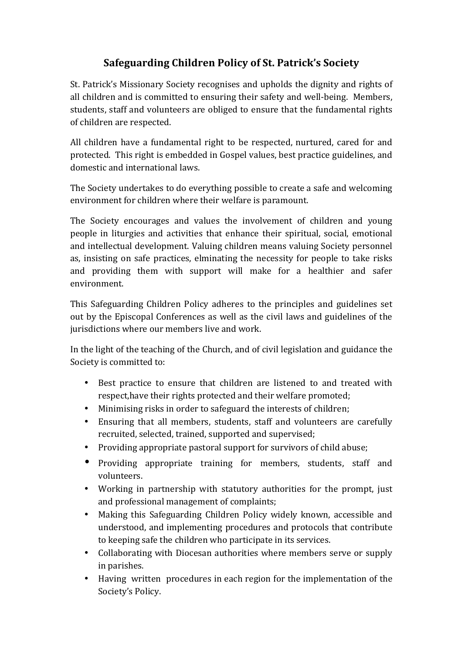## **Safeguarding Children Policy of St. Patrick's Society**

St. Patrick's Missionary Society recognises and upholds the dignity and rights of all children and is committed to ensuring their safety and well-being. Members, students, staff and volunteers are obliged to ensure that the fundamental rights of children are respected.

All children have a fundamental right to be respected, nurtured, cared for and protected. This right is embedded in Gospel values, best practice guidelines, and domestic and international laws.

The Society undertakes to do everything possible to create a safe and welcoming environment for children where their welfare is paramount.

The Society encourages and values the involvement of children and young people in liturgies and activities that enhance their spiritual, social, emotional and intellectual development. Valuing children means valuing Society personnel as, insisting on safe practices, elminating the necessity for people to take risks and providing them with support will make for a healthier and safer environment.

This Safeguarding Children Policy adheres to the principles and guidelines set out by the Episcopal Conferences as well as the civil laws and guidelines of the jurisdictions where our members live and work.

In the light of the teaching of the Church, and of civil legislation and guidance the Society is committed to:

- Best practice to ensure that children are listened to and treated with respect, have their rights protected and their welfare promoted;
- Minimising risks in order to safeguard the interests of children;
- Ensuring that all members, students, staff and volunteers are carefully recruited, selected, trained, supported and supervised;
- Providing appropriate pastoral support for survivors of child abuse;
- Providing appropriate training for members, students, staff and volunteers.
- Working in partnership with statutory authorities for the prompt, just and professional management of complaints;
- Making this Safeguarding Children Policy widely known, accessible and understood, and implementing procedures and protocols that contribute to keeping safe the children who participate in its services.
- Collaborating with Diocesan authorities where members serve or supply in parishes.
- Having written procedures in each region for the implementation of the Society's Policy.